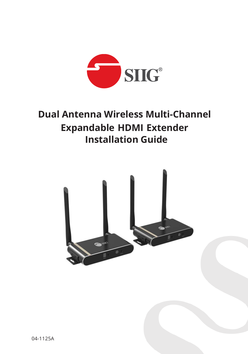

# **Dual Antenna Wireless Multi-Channel Expandable HDMI Extender Installation Guide**

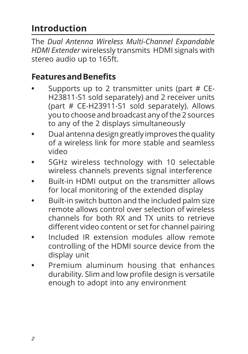## **Introduction**

The *Dual Antenna Wireless Multi-Channel Expandable HDMI Extender* wirelessly transmits HDMI signals with stereo audio up to 165ft.

#### **Features and Benefits**

- **•** Supports up to 2 transmitter units (part # CE-H23811-S1 sold separately) and 2 receiver units (part # CE-H23911-S1 sold separately). Allows you to choose and broadcast any of the 2 sources to any of the 2 displays simultaneously
- **•** Dual antenna design greatly improves the quality of a wireless link for more stable and seamless video
- **•** 5GHz wireless technology with 10 selectable wireless channels prevents signal interference
- **•** Built-in HDMI output on the transmitter allows for local monitoring of the extended display
- **•** Built-in switch button and the included palm size remote allows control over selection of wireless channels for both RX and TX units to retrieve different video content or set for channel pairing
- **•** Included IR extension modules allow remote controlling of the HDMI source device from the display unit
- **•** Premium aluminum housing that enhances durability. Slim and low profile design is versatile enough to adopt into any environment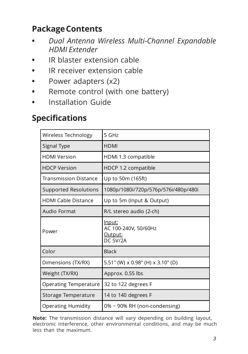### **Package Contents**

- **•** *Dual Antenna Wireless Multi-Channel Expandable HDMI Extender*
- **•** IR blaster extension cable
- **•** IR receiver extension cable
- **•** Power adapters (x2)
- **•** Remote control (with one battery)
- **•** Installation Guide

### **Specifications**

| Wireless Technology          | 5 GHz                                                        |
|------------------------------|--------------------------------------------------------------|
| Signal Type                  | <b>HDMI</b>                                                  |
| <b>HDMI Version</b>          | HDMI 1.3 compatible                                          |
| <b>HDCP Version</b>          | HDCP 1.2 compatible                                          |
| <b>Transmission Distance</b> | Up to 50m (165ft)                                            |
| Supported Resolutions        | 1080p/1080i/720p/576p/576i/480p/480i                         |
| <b>HDMI Cable Distance</b>   | Up to 5m (Input & Output)                                    |
| Audio Format                 | R/L stereo audio (2-ch)                                      |
| Power                        | Input:<br>AC 100-240V, 50/60Hz<br>Output:<br><b>DC 5V/2A</b> |
| Color                        | <b>Black</b>                                                 |
| Dimensions (TX/RX)           | 5.51" (W) x 0.98" (H) x 3.10" (D)                            |
| Weight (TX/RX)               | Approx. 0.55 lbs                                             |
| <b>Operating Temperature</b> | 32 to 122 degrees F                                          |
| Storage Temperature          | 14 to 140 degrees F                                          |
| <b>Operating Humidity</b>    | 0% ~ 90% RH (non-condensing)                                 |

**Note:** The transmission distance will vary depending on building layout, electronic interference, other environmental conditions, and may be much less than the maximum.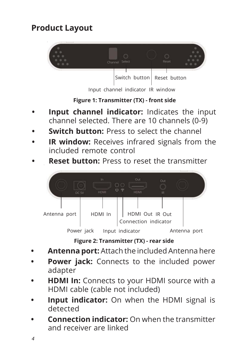## **Product Layout**



Input channel indicator IR window

**Figure 1: Transmitter (TX) - front side**

- **Input channel indicator:** Indicates the input channel selected. There are 10 channels (0-9)
- **Switch button:** Press to select the channel
- **IR window:** Receives infrared signals from the included remote control
- **Reset button:** Press to reset the transmitter



**Figure 2: Transmitter (TX) - rear side**

- **Antenna port:** Attach the included Antenna here
- **Power jack:** Connects to the included power adapter
- **HDMI In:** Connects to your HDMI source with a HDMI cable (cable not included)
- **Input indicator:** On when the HDMI signal is detected
- **Connection indicator:** On when the transmitter and receiver are linked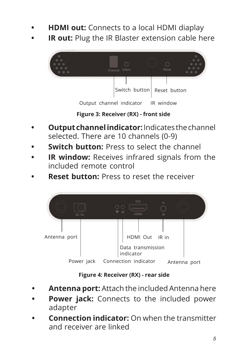- **HDMI out:** Connects to a local HDMI diaplay
- **IR out:** Plug the IR Blaster extension cable here



**Figure 3: Receiver (RX) - front side**

- **Output channel indicator:** Indicates the channel selected. There are 10 channels (0-9)
- **Switch button:** Press to select the channel
- **IR window:** Receives infrared signals from the included remote control
- **Reset button:** Press to reset the receiver



**Figure 4: Receiver (RX) - rear side**

- **Antenna port:** Attach the included Antenna here
- **Power jack:** Connects to the included power adapter
- **Connection indicator:** On when the transmitter and receiver are linked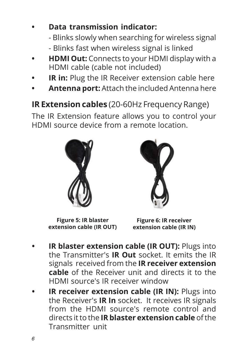### **• Data transmission indicator:**

- Blinks slowly when searching for wireless signal

- Blinks fast when wireless signal is linked
- **HDMI Out:** Connects to your HDMI display with a HDMI cable (cable not included)
- **IR in:** Plug the IR Receiver extension cable here
- **Antenna port:** Attach the included Antenna here

**IR Extension cables** (20-60Hz Frequency Range)

The IR Extension feature allows you to control your HDMI source device from a remote location.





**Figure 5: IR blaster extension cable (IR OUT)**

**Figure 6: IR receiver extension cable (IR IN)**

- **IR blaster extension cable (IR OUT):** Plugs into the Transmitter's **IR Out** socket. It emits the IR signals received from the **IR receiver extension cable** of the Receiver unit and directs it to the HDMI source's IR receiver window
- **IR receiver extension cable (IR IN): Plugs into** the Receiver's **IR In** socket. It receives IR signals from the HDMI source's remote control and directs it to the **IR blaster extension cable** of the Transmitter unit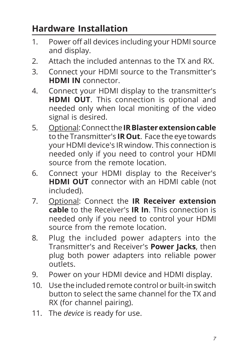# **Hardware Installation**

- 1. Power off all devices including your HDMI source and display.
- 2. Attach the included antennas to the TX and RX.
- 3. Connect your HDMI source to the Transmitter's **HDMI IN** connector.
- 4. Connect your HDMI display to the transmitter's **HDMI OUT**. This connection is optional and needed only when local moniting of the video signal is desired.
- 5. Optional: Connect the **IR Blaster extension cable** to the Transmitter's **IR Out**. Face the eye towards your HDMI device's IR window. This connection is needed only if you need to control your HDMI source from the remote location.
- 6. Connect your HDMI display to the Receiver's **HDMI OUT** connector with an HDMI cable (not included).
- 7. Optional: Connect the **IR Receiver extension cable** to the Receiver's **IR In**. This connection is needed only if you need to control your HDMI source from the remote location.
- 8. Plug the included power adapters into the Transmitter's and Receiver's **Power Jacks**, then plug both power adapters into reliable power outlets.
- 9. Power on your HDMI device and HDMI display.
- 10. Use the included remote control or built-in switch button to select the same channel for the TX and RX (for channel pairing).
- 11. The *device* is ready for use.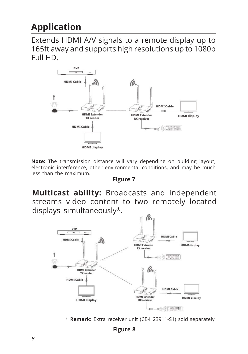## **Application**

Extends HDMI A/V signals to a remote display up to 165ft away and supports high resolutions up to 1080p Full HD.



**Note:** The transmission distance will vary depending on building layout, electronic interference, other environmental conditions, and may be much less than the maximum.

#### **Figure 7**

**Multicast ability:** Broadcasts and independent streams video content to two remotely located displays simultaneously\*.



\* **Remark:** Extra receiver unit (CE-H23911-S1) sold separately

**Figure 8**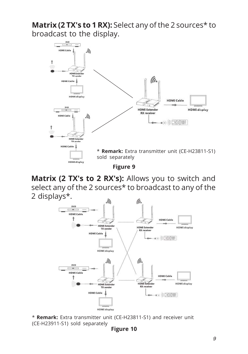**Matrix (2 TX's to 1 RX):** Select any of the 2 sources\* to broadcast to the display.



**Matrix (2 TX's to 2 RX's):** Allows you to switch and select any of the 2 sources\* to broadcast to any of the 2 displays\*.



\* **Remark:** Extra transmitter unit (CE-H23811-S1) and receiver unit (CE-H23911-S1) sold separately

**Figure 10**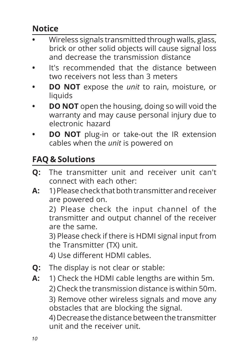## **Notice**

- **•** Wireless signals transmitted through walls, glass, brick or other solid objects will cause signal loss and decrease the transmission distance
- **•** It's recommended that the distance between two receivers not less than 3 meters
- **DO NOT** expose the *unit* to rain, moisture, or liquids
- **DO NOT** open the housing, doing so will void the warranty and may cause personal injury due to electronic hazard
- **DO NOT** plug-in or take-out the IR extension cables when the *unit* is powered on

## **FAQ & Solutions**

- **Q:** The transmitter unit and receiver unit can't connect with each other:
- **A:** 1) Please check that both transmitter and receiver are powered on.

2) Please check the input channel of the transmitter and output channel of the receiver are the same.

3) Please check if there is HDMI signal input from the Transmitter (TX) unit.

4) Use different HDMI cables.

- **Q:** The display is not clear or stable:
- **A:** 1) Check the HDMI cable lengths are within 5m. 2) Check the transmission distance is within 50m.

3) Remove other wireless signals and move any obstacles that are blocking the signal.

4) Decrease the distance between the transmitter unit and the receiver unit.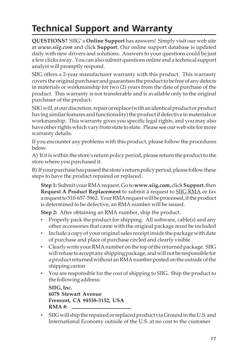# **Technical Support and Warranty**

**QUESTIONS?** SIIG' s **Online Support** has answers! Simply visit our web site at *www.siig.com* and click **Support**. Our online support database is updated daily with new drivers and solutions. Answers to your questions could be just a few clicks away. You can also submit questions online and a technical support analyst will promptly respond.

SIIG offers a 2-year manufacturer warranty with this product. This warranty covers the original purchaser and guarantees the product to be free of any defects in materials or workmanship for two (2) years from the date of purchase of the product. This warranty is not transferable and is available only to the original purchaser of the product.

SIIG will, at our discretion, repair or replace (with an identical product or product having similar features and functionality) the product if defective in materials or workmanship. This warranty gives you specific legal rights, and you may also have other rights which vary from state to state. Please see our web site for more warranty details.

If you encounter any problems with this product, please follow the procedures below.

A) If it is within the store's return policy period, please return the product to the store where you purchased it.

B) If your purchase has passed the store's return policy period, please follow these steps to have the product repaired or replaced.

**Step 1:** Submit your RMA request. Go to **www.siig.com**, click **Support**, then **Request A Product Replacement** to submit a request to SIIG RMA or fax a request to 510-657-5962. Your RMA request will be processed, if the product is determined to be defective, an RMA number will be issued.

**Step 2:** After obtaining an RMA number, ship the product.

- Properly pack the product for shipping. All software, cable(s) and any other accessories that came with the original package must be included
- Include a copy of your original sales receipt inside the package with date of purchase and place of purchase circled and clearly visible
- Clearly write your RMA number on the top of the returned package. SIIG will refuse to accept any shipping package, and will not be responsible for a product returned without an RMA number posted on the outside of the shipping carton
- You are responsible for the cost of shipping to SIIG. Ship the product to the following address:

```
SIIG, Inc.
6078 Stewart Avenue
Fremont, CA 94538-3152, USA
RMA #:
```
• SIIG will ship the repaired or replaced product via Ground in the U.S. and International Economy outside of the U.S. at no cost to the customer